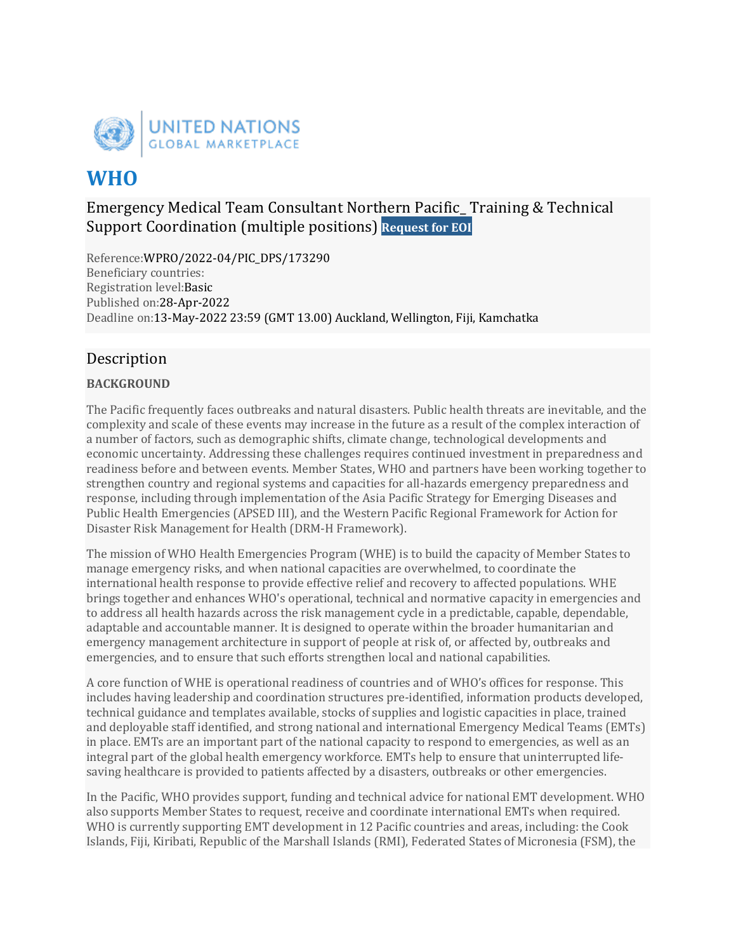

# **WHO**

# Emergency Medical Team Consultant Northern Pacific\_ Training & Technical Support Coordination (multiple positions) **Request for EOI**

Reference:WPRO/2022-04/PIC\_DPS/173290 Beneficiary countries: Registration level:Basic Published on:28-Apr-2022 Deadline on:13-May-2022 23:59 (GMT 13.00) Auckland, Wellington, Fiji, Kamchatka

# Description

## **BACKGROUND**

The Pacific frequently faces outbreaks and natural disasters. Public health threats are inevitable, and the complexity and scale of these events may increase in the future as a result of the complex interaction of a number of factors, such as demographic shifts, climate change, technological developments and economic uncertainty. Addressing these challenges requires continued investment in preparedness and readiness before and between events. Member States, WHO and partners have been working together to strengthen country and regional systems and capacities for all-hazards emergency preparedness and response, including through implementation of the Asia Pacific Strategy for Emerging Diseases and Public Health Emergencies (APSED III), and the Western Pacific Regional Framework for Action for Disaster Risk Management for Health (DRM-H Framework).

The mission of WHO Health Emergencies Program (WHE) is to build the capacity of Member States to manage emergency risks, and when national capacities are overwhelmed, to coordinate the international health response to provide effective relief and recovery to affected populations. WHE brings together and enhances WHO's operational, technical and normative capacity in emergencies and to address all health hazards across the risk management cycle in a predictable, capable, dependable, adaptable and accountable manner. It is designed to operate within the broader humanitarian and emergency management architecture in support of people at risk of, or affected by, outbreaks and emergencies, and to ensure that such efforts strengthen local and national capabilities.

A core function of WHE is operational readiness of countries and of WHO's offices for response. This includes having leadership and coordination structures pre-identified, information products developed, technical guidance and templates available, stocks of supplies and logistic capacities in place, trained and deployable staff identified, and strong national and international Emergency Medical Teams (EMTs) in place. EMTs are an important part of the national capacity to respond to emergencies, as well as an integral part of the global health emergency workforce. EMTs help to ensure that uninterrupted lifesaving healthcare is provided to patients affected by a disasters, outbreaks or other emergencies.

In the Pacific, WHO provides support, funding and technical advice for national EMT development. WHO also supports Member States to request, receive and coordinate international EMTs when required. WHO is currently supporting EMT development in 12 Pacific countries and areas, including: the Cook Islands, Fiji, Kiribati, Republic of the Marshall Islands (RMI), Federated States of Micronesia (FSM), the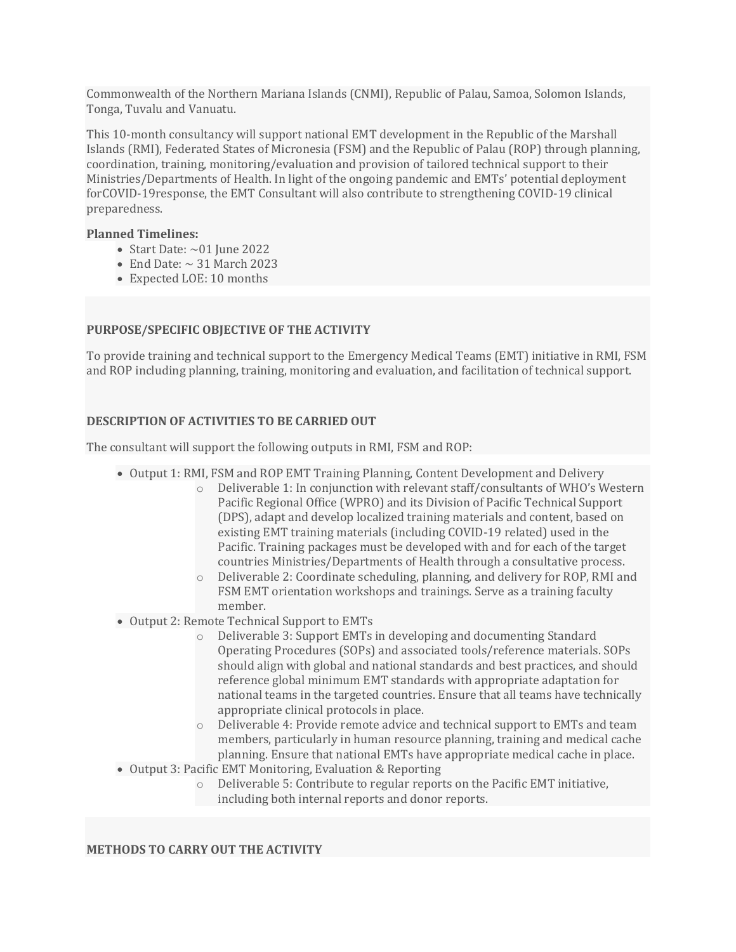Commonwealth of the Northern Mariana Islands (CNMI), Republic of Palau, Samoa, Solomon Islands, Tonga, Tuvalu and Vanuatu.

This 10-month consultancy will support national EMT development in the Republic of the Marshall Islands (RMI), Federated States of Micronesia (FSM) and the Republic of Palau (ROP) through planning, coordination, training, monitoring/evaluation and provision of tailored technical support to their Ministries/Departments of Health. In light of the ongoing pandemic and EMTs' potential deployment forCOVID-19 response, the EMT Consultant will also contribute to strengthening COVID-19 clinical preparedness.

#### **Planned Timelines:**

- Start Date:  $\sim 01$  June 2022
- End Date:  $\sim$  31 March 2023
- Expected LOE: 10 months

### **PURPOSE/SPECIFIC OBJECTIVE OF THE ACTIVITY**

To provide training and technical support to the Emergency Medical Teams (EMT) initiative in RMI, FSM and ROP including planning, training, monitoring and evaluation, and facilitation of technical support.

#### **DESCRIPTION OF ACTIVITIES TO BE CARRIED OUT**

The consultant will support the following outputs in RMI, FSM and ROP:

- Output 1: RMI, FSM and ROP EMT Training Planning, Content Development and Delivery
	- $\circ$  Deliverable 1: In conjunction with relevant staff/consultants of WHO's Western Pacific Regional Office (WPRO) and its Division of Pacific Technical Support (DPS), adapt and develop localized training materials and content, based on existing EMT training materials (including COVID-19 related) used in the Pacific. Training packages must be developed with and for each of the target countries Ministries/Departments of Health through a consultative process.
	- $\circ$  Deliverable 2: Coordinate scheduling, planning, and delivery for ROP, RMI and FSM EMT orientation workshops and trainings. Serve as a training faculty member.
- Output 2: Remote Technical Support to EMTs
	- $\circ$  Deliverable 3: Support EMTs in developing and documenting Standard Operating Procedures (SOPs) and associated tools/reference materials. SOPs should align with global and national standards and best practices, and should reference global minimum EMT standards with appropriate adaptation for national teams in the targeted countries. Ensure that all teams have technically appropriate clinical protocols in place.
	- $\circ$  Deliverable 4: Provide remote advice and technical support to EMTs and team members, particularly in human resource planning, training and medical cache planning. Ensure that national EMTs have appropriate medical cache in place.
- Output 3: Pacific EMT Monitoring, Evaluation & Reporting
	- $\circ$  Deliverable 5: Contribute to regular reports on the Pacific EMT initiative, including both internal reports and donor reports.

#### **METHODS TO CARRY OUT THE ACTIVITY**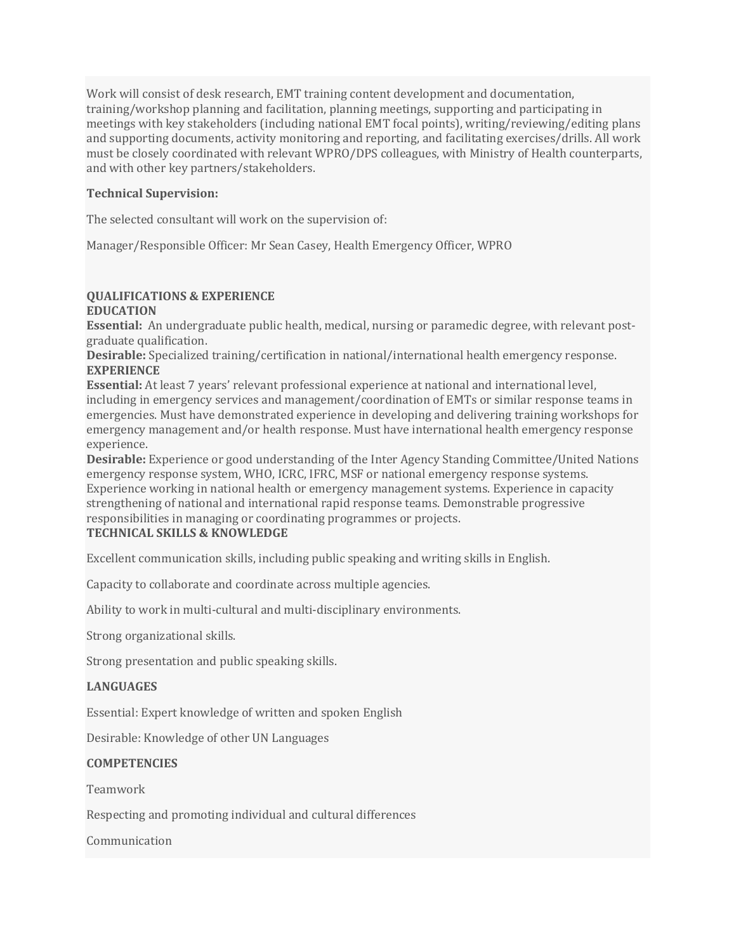Work will consist of desk research, EMT training content development and documentation, training/workshop planning and facilitation, planning meetings, supporting and participating in meetings with key stakeholders (including national EMT focal points), writing/reviewing/editing plans and supporting documents, activity monitoring and reporting, and facilitating exercises/drills. All work must be closely coordinated with relevant WPRO/DPS colleagues, with Ministry of Health counterparts, and with other key partners/stakeholders.

#### **Technical Supervision:**

The selected consultant will work on the supervision of:

Manager/Responsible Officer: Mr Sean Casey, Health Emergency Officer, WPRO

#### **QUALIFICATIONS & EXPERIENCE**

#### **EDUCATION**

**Essential:** An undergraduate public health, medical, nursing or paramedic degree, with relevant postgraduate qualification.

**Desirable:** Specialized training/certification in national/international health emergency response. **EXPERIENCE**

**Essential:** At least 7 years' relevant professional experience at national and international level, including in emergency services and management/coordination of EMTs or similar response teams in emergencies. Must have demonstrated experience in developing and delivering training workshops for emergency management and/or health response. Must have international health emergency response experience.

**Desirable:** Experience or good understanding of the Inter Agency Standing Committee/United Nations emergency response system, WHO, ICRC, IFRC, MSF or national emergency response systems. Experience working in national health or emergency management systems. Experience in capacity strengthening of national and international rapid response teams. Demonstrable progressive responsibilities in managing or coordinating programmes or projects.

### **TECHNICAL SKILLS & KNOWLEDGE**

Excellent communication skills, including public speaking and writing skills in English.

Capacity to collaborate and coordinate across multiple agencies.

Ability to work in multi-cultural and multi-disciplinary environments.

Strong organizational skills.

Strong presentation and public speaking skills.

#### **LANGUAGES**

Essential: Expert knowledge of written and spoken English

Desirable: Knowledge of other UN Languages

#### **COMPETENCIES**

Teamwork

Respecting and promoting individual and cultural differences

Communication